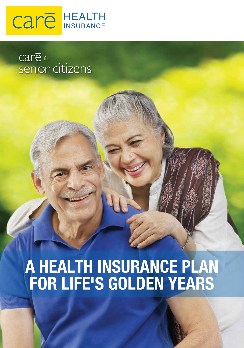

care <sub>for</sub><br>senior citizens

# **A HEALTH INSURANCE PLAN FOR LIFE'S GOLDEN YEARS**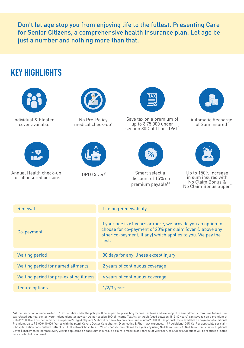Don't let age stop you from enjoying life to the fullest. Presenting Care for Senior Citizens, a comprehensive health insurance plan. Let age be just a number and nothing more than that.

## **KEY HIGHLIGHTS**



Individual & Floater cover available



Annual Health check-up for all insured persons



No Pre-Policy medical check-up\*





Save tax on a premium of up to ₹75,000 under section 80D of IT act 1961<sup>^</sup>



Smart select a discount of 15% on premium payable##



Automatic Recharge of Sum Insured



OPD Cover<sup>#</sup> Smart select a Up to 150% increase in sum insured with No Claim Bonus & No Claim Bonus Super\*\*

| Renewal                                 | <b>Lifelong Renewability</b>                                                                                                                                                                    |
|-----------------------------------------|-------------------------------------------------------------------------------------------------------------------------------------------------------------------------------------------------|
| Co-payment                              | If your age is 61 years or more, we provide you an option to<br>choose for co-payment of 20% per claim (over & above any<br>other co-payment, If any) which applies to you. We pay the<br>rest. |
| <b>Waiting period</b>                   | 30 days for any illness except injury                                                                                                                                                           |
| Waiting period for named ailments       | 2 years of continuous coverage                                                                                                                                                                  |
| Waiting period for pre-existing illness | 4 years of continuous coverage                                                                                                                                                                  |
| Tenure options                          | $1/2/3$ years                                                                                                                                                                                   |

<sup>\*</sup>At the discretion of underwriter. ^Tax Benefits under the policy will be as per the prevailing Income Tax laws and are subject to amendments from time to time. For tax related queries, contact your independent tax advisor. As per section 80D of Income Tax Act, an Adult (aged between 18 & 60 years) can save tax on a premium of upto ` 25,000 and his/her senior citizen parent/s (aged 60 years & above) can save tax on a premium of upto ` 50,000. #Optional Cover available on payment of additional Premium. Up to ₹5,000/ 10,000 (Varies with the plan). Covers Doctor Consultation, Diagnostics & Pharmacy expenses. ## Additional 20% Co-Pay applicable per claim if hospitalization done outside SMART SELECT network hospitals. \*\*For 5 consecutive claims free years by using No Claim Bonus & No Claim Bonus Super ( Optional Cover ). Incremental increase every year is applicable on base Sum Insured. If a claim is made in any particular year accrued NCB or NCB super will be reduced at same rate at which it is accrued.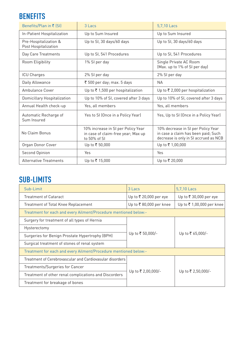## **BENEFITS**

| Benefits/Plan in ₹ [SI]                       | $3$ Lacs                                                                                 | 5,7,10 Lacs                                                                                                        |  |
|-----------------------------------------------|------------------------------------------------------------------------------------------|--------------------------------------------------------------------------------------------------------------------|--|
| In-Patient Hospitalization                    | Up to Sum Insured                                                                        | Up to Sum Insured                                                                                                  |  |
| Pre-Hospitalization &<br>Post Hospitalization | Up to SI, 30 days/60 days                                                                | Up to SI, 30 days/60 days                                                                                          |  |
| Day Care Treatments                           | Up to SI, 541 Procedures                                                                 | Up to SI, 541 Procedures                                                                                           |  |
| Room Eligibility                              | 1% SI per day                                                                            | Single Private AC Room<br>(Max. up to 1% of SI per day)                                                            |  |
| <b>ICU Charges</b>                            | 2% SI per day                                                                            | 2% SI per day                                                                                                      |  |
| Daily Allowance                               | ₹ 500 per day; max. 5 days                                                               | <b>NA</b>                                                                                                          |  |
| Ambulance Cover                               | Up to ₹1,500 per hospitalization                                                         | Up to ₹ 2,000 per hospitalization                                                                                  |  |
| Domicillary Hospitalization                   | Up to 10% of SI, covered after 3 days                                                    | Up to 10% of SI, covered after 3 days                                                                              |  |
| Annual Health check-up                        | Yes, all members                                                                         | Yes, all members                                                                                                   |  |
| Automatic Recharge of<br>Sum Insured          | Yes to SI (Once in a Policy Year)                                                        | Yes, Up to SI (Once in a Policy Year)                                                                              |  |
| No Claim Bonus                                | 10% increase in SI per Policy Year<br>in case of claim-free year; Max up<br>to 50% of SI | 10% decrease in SI per Policy Year<br>in case a claim has been paid; Such<br>decrease is only in SI accrued as NCB |  |
| Organ Donor Cover                             | Up to ₹ 50,000                                                                           | Up to ₹1,00,000                                                                                                    |  |
| Second Opinion                                | Yes                                                                                      | Yes                                                                                                                |  |
| <b>Alternative Treatments</b>                 | Up to ₹ 15,000                                                                           | Up to ₹ 20,000                                                                                                     |  |

## **SUB-LIMITS**

| Sub-Limit                                                        | 3 Lacs                 | 5.7.10 Lacs               |  |  |
|------------------------------------------------------------------|------------------------|---------------------------|--|--|
| <b>Treatment of Cataract</b>                                     | Up to ₹ 20,000 per eye | Up to ₹ 30,000 per eye    |  |  |
| Treatment of Total Knee Replacement                              | Up to ₹80,000 per knee | Up to ₹ 1,00,000 per knee |  |  |
| Treatment for each and every Ailment/Procedure mentioned below:- |                        |                           |  |  |
| Surgery for treatment of all types of Hernia                     |                        | Up to ₹ 65,000/-          |  |  |
| Hysterectomy                                                     | Up to ₹ 50,000/-       |                           |  |  |
| Surgeries for Benign Prostate Hypertrophy (BPH)                  |                        |                           |  |  |
| Surgical treatment of stones of renal system                     |                        |                           |  |  |
| Treatment for each and every Ailment/Procedure mentioned below:- |                        |                           |  |  |
| Treatment of Cerebrovascular and Cardiovasular disorders         | Up to ₹ 2,00,000/-     | Up to ₹ 2,50,000/-        |  |  |
| Treatments/Surgeries for Cancer                                  |                        |                           |  |  |
| Treatment of other renal complications and Discorders            |                        |                           |  |  |
| Treatment for breakage of bones                                  |                        |                           |  |  |